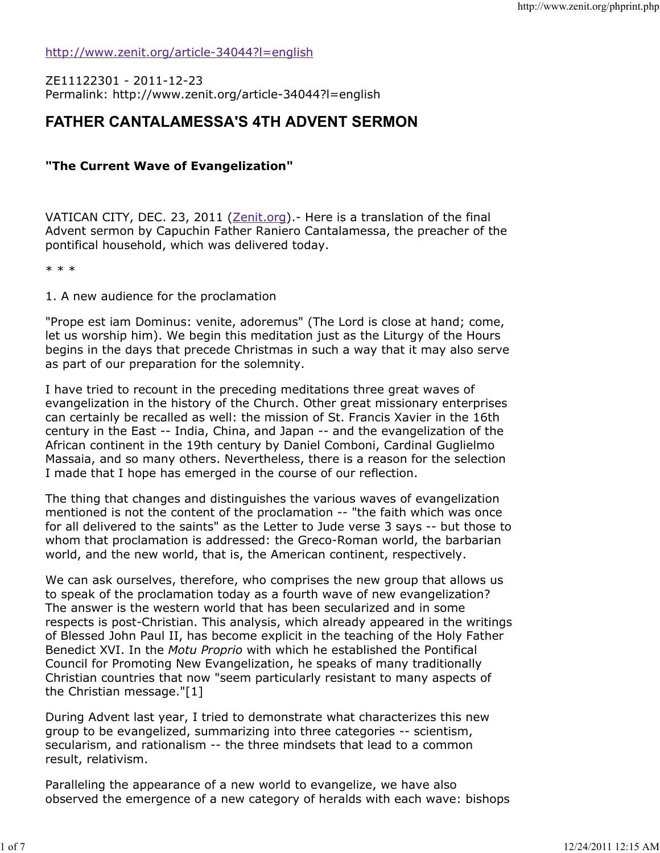http://www.zenit.org/article-34044?l=english

ZE11122301 - 2011-12-23 Permalink: http://www.zenit.org/article-34044?l=english

## FATHER CANTALAMESSA'S 4TH ADVENT SERMON

## "The Current Wave of Evangelization"

VATICAN CITY, DEC. 23, 2011 (Zenit.org). - Here is a translation of the final Advent sermon by Capuchin Father Raniero Cantalamessa, the preacher of the pontifical household, which was delivered today.

\* \* \*

1. A new audience for the proclamation

"Prope est iam Dominus: venite, adoremus" (The Lord is close at hand; come, let us worship him). We begin this meditation just as the Liturgy of the Hours begins in the days that precede Christmas in such a way that it may also serve as part of our preparation for the solemnity.

I have tried to recount in the preceding meditations three great waves of evangelization in the history of the Church. Other great missionary enterprises can certainly be recalled as well: the mission of St. Francis Xavier in the 16th century in the East -- India, China, and Japan -- and the evangelization of the African continent in the 19th century by Daniel Comboni, Cardinal Guglielmo Massaia, and so many others. Nevertheless, there is a reason for the selection I made that I hope has emerged in the course of our reflection.

The thing that changes and distinguishes the various waves of evangelization mentioned is not the content of the proclamation -- "the faith which was once for all delivered to the saints" as the Letter to Jude verse 3 says -- but those to whom that proclamation is addressed: the Greco-Roman world, the barbarian world, and the new world, that is, the American continent, respectively.

We can ask ourselves, therefore, who comprises the new group that allows us to speak of the proclamation today as a fourth wave of new evangelization? The answer is the western world that has been secularized and in some respects is post-Christian. This analysis, which already appeared in the writings of Blessed John Paul II, has become explicit in the teaching of the Holy Father Benedict XVI. In the Motu Proprio with which he established the Pontifical Council for Promoting New Evangelization, he speaks of many traditionally Christian countries that now "seem particularly resistant to many aspects of the Christian message."[1]

During Advent last year, I tried to demonstrate what characterizes this new group to be evangelized, summarizing into three categories -- scientism, secularism, and rationalism -- the three mindsets that lead to a common result, relativism.

Paralleling the appearance of a new world to evangelize, we have also observed the emergence of a new category of heralds with each wave: bishops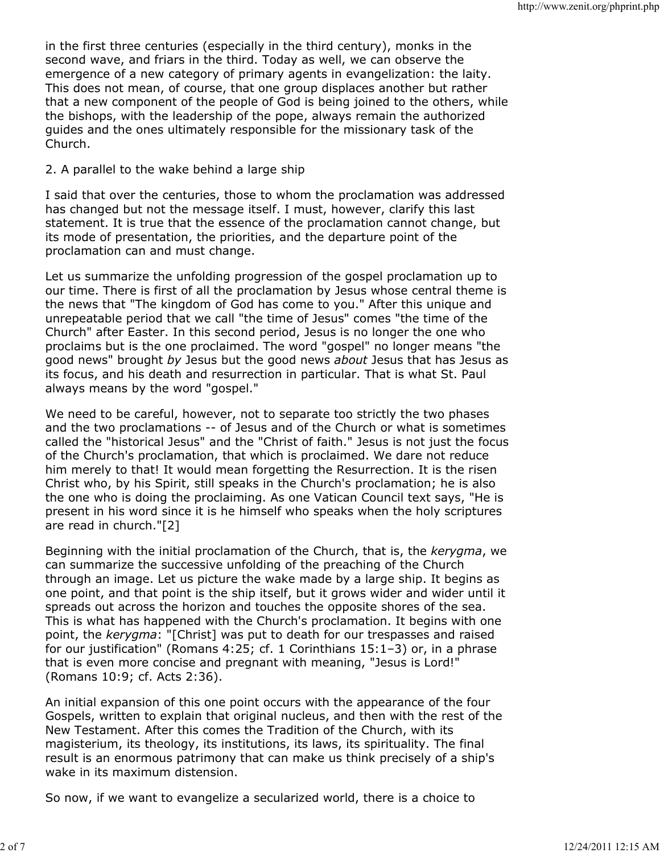in the first three centuries (especially in the third century), monks in the second wave, and friars in the third. Today as well, we can observe the emergence of a new category of primary agents in evangelization: the laity. This does not mean, of course, that one group displaces another but rather that a new component of the people of God is being joined to the others, while the bishops, with the leadership of the pope, always remain the authorized guides and the ones ultimately responsible for the missionary task of the Church.

## 2. A parallel to the wake behind a large ship

I said that over the centuries, those to whom the proclamation was addressed has changed but not the message itself. I must, however, clarify this last statement. It is true that the essence of the proclamation cannot change, but its mode of presentation, the priorities, and the departure point of the proclamation can and must change.

Let us summarize the unfolding progression of the gospel proclamation up to our time. There is first of all the proclamation by Jesus whose central theme is the news that "The kingdom of God has come to you." After this unique and unrepeatable period that we call "the time of Jesus" comes "the time of the Church" after Easter. In this second period, Jesus is no longer the one who proclaims but is the one proclaimed. The word "gospel" no longer means "the good news" brought by Jesus but the good news *about* Jesus that has Jesus as its focus, and his death and resurrection in particular. That is what St. Paul always means by the word "gospel."

We need to be careful, however, not to separate too strictly the two phases and the two proclamations -- of Jesus and of the Church or what is sometimes called the "historical Jesus" and the "Christ of faith." Jesus is not just the focus of the Church's proclamation, that which is proclaimed. We dare not reduce him merely to that! It would mean forgetting the Resurrection. It is the risen Christ who, by his Spirit, still speaks in the Church's proclamation; he is also the one who is doing the proclaiming. As one Vatican Council text says, "He is present in his word since it is he himself who speaks when the holy scriptures are read in church."[2]

Beginning with the initial proclamation of the Church, that is, the kerygma, we can summarize the successive unfolding of the preaching of the Church through an image. Let us picture the wake made by a large ship. It begins as one point, and that point is the ship itself, but it grows wider and wider until it spreads out across the horizon and touches the opposite shores of the sea. This is what has happened with the Church's proclamation. It begins with one point, the kerygma: "[Christ] was put to death for our trespasses and raised for our justification" (Romans 4:25; cf. 1 Corinthians 15:1–3) or, in a phrase that is even more concise and pregnant with meaning, "Jesus is Lord!" (Romans 10:9; cf. Acts 2:36).

An initial expansion of this one point occurs with the appearance of the four Gospels, written to explain that original nucleus, and then with the rest of the New Testament. After this comes the Tradition of the Church, with its magisterium, its theology, its institutions, its laws, its spirituality. The final result is an enormous patrimony that can make us think precisely of a ship's wake in its maximum distension.

So now, if we want to evangelize a secularized world, there is a choice to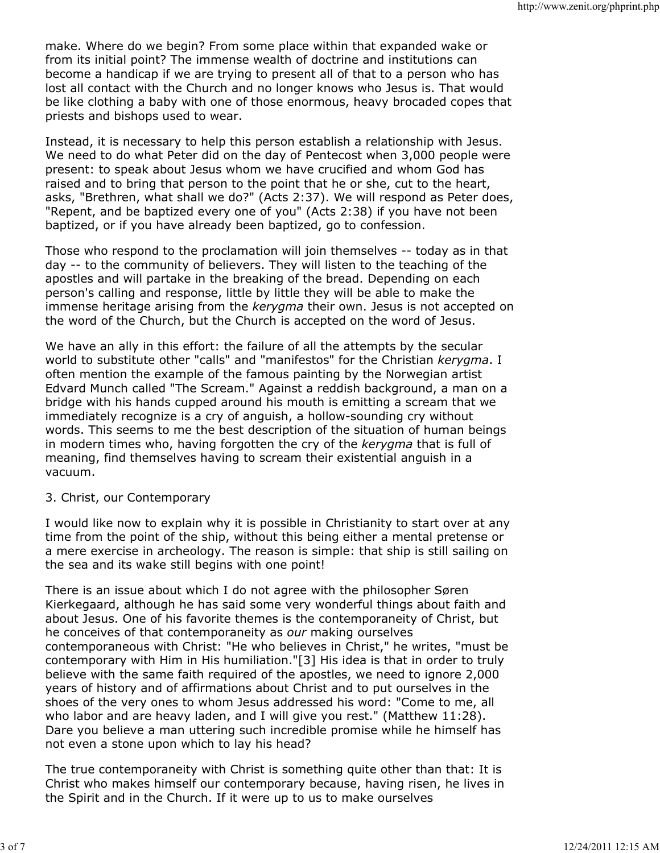make. Where do we begin? From some place within that expanded wake or from its initial point? The immense wealth of doctrine and institutions can become a handicap if we are trying to present all of that to a person who has lost all contact with the Church and no longer knows who Jesus is. That would be like clothing a baby with one of those enormous, heavy brocaded copes that priests and bishops used to wear.

Instead, it is necessary to help this person establish a relationship with Jesus. We need to do what Peter did on the day of Pentecost when 3,000 people were present: to speak about Jesus whom we have crucified and whom God has raised and to bring that person to the point that he or she, cut to the heart, asks, "Brethren, what shall we do?" (Acts 2:37). We will respond as Peter does, "Repent, and be baptized every one of you" (Acts 2:38) if you have not been baptized, or if you have already been baptized, go to confession.

Those who respond to the proclamation will join themselves -- today as in that day -- to the community of believers. They will listen to the teaching of the apostles and will partake in the breaking of the bread. Depending on each person's calling and response, little by little they will be able to make the immense heritage arising from the kerygma their own. Jesus is not accepted on the word of the Church, but the Church is accepted on the word of Jesus.

We have an ally in this effort: the failure of all the attempts by the secular world to substitute other "calls" and "manifestos" for the Christian kerygma. I often mention the example of the famous painting by the Norwegian artist Edvard Munch called "The Scream." Against a reddish background, a man on a bridge with his hands cupped around his mouth is emitting a scream that we immediately recognize is a cry of anguish, a hollow-sounding cry without words. This seems to me the best description of the situation of human beings in modern times who, having forgotten the cry of the kerygma that is full of meaning, find themselves having to scream their existential anguish in a vacuum.

## 3. Christ, our Contemporary

I would like now to explain why it is possible in Christianity to start over at any time from the point of the ship, without this being either a mental pretense or a mere exercise in archeology. The reason is simple: that ship is still sailing on the sea and its wake still begins with one point!

There is an issue about which I do not agree with the philosopher Søren Kierkegaard, although he has said some very wonderful things about faith and about Jesus. One of his favorite themes is the contemporaneity of Christ, but he conceives of that contemporaneity as our making ourselves contemporaneous with Christ: "He who believes in Christ," he writes, "must be contemporary with Him in His humiliation."[3] His idea is that in order to truly believe with the same faith required of the apostles, we need to ignore 2,000 years of history and of affirmations about Christ and to put ourselves in the shoes of the very ones to whom Jesus addressed his word: "Come to me, all who labor and are heavy laden, and I will give you rest." (Matthew 11:28). Dare you believe a man uttering such incredible promise while he himself has not even a stone upon which to lay his head?

The true contemporaneity with Christ is something quite other than that: It is Christ who makes himself our contemporary because, having risen, he lives in the Spirit and in the Church. If it were up to us to make ourselves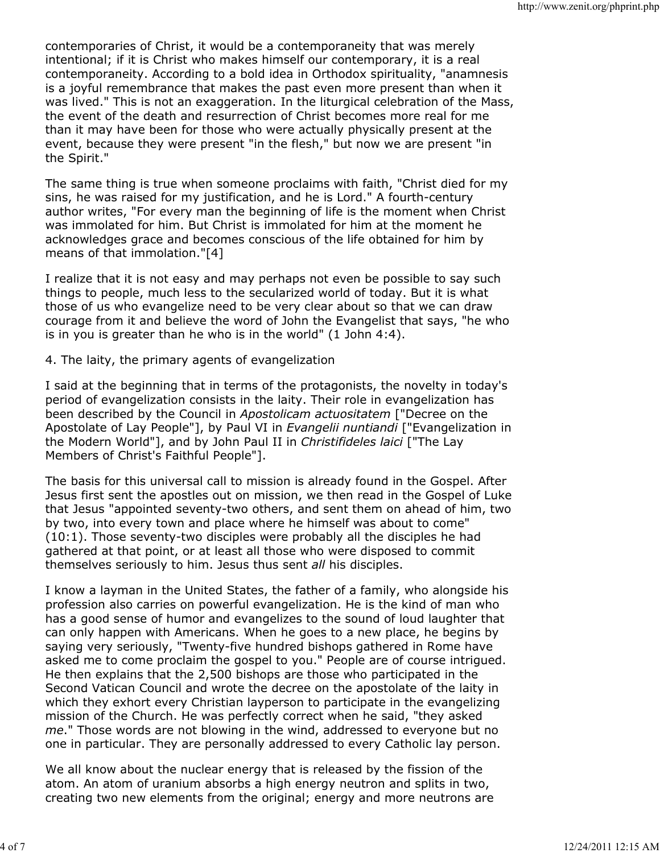contemporaries of Christ, it would be a contemporaneity that was merely intentional; if it is Christ who makes himself our contemporary, it is a real contemporaneity. According to a bold idea in Orthodox spirituality, "anamnesis is a joyful remembrance that makes the past even more present than when it was lived." This is not an exaggeration. In the liturgical celebration of the Mass, the event of the death and resurrection of Christ becomes more real for me than it may have been for those who were actually physically present at the event, because they were present "in the flesh," but now we are present "in the Spirit."

The same thing is true when someone proclaims with faith, "Christ died for my sins, he was raised for my justification, and he is Lord." A fourth-century author writes, "For every man the beginning of life is the moment when Christ was immolated for him. But Christ is immolated for him at the moment he acknowledges grace and becomes conscious of the life obtained for him by means of that immolation."[4]

I realize that it is not easy and may perhaps not even be possible to say such things to people, much less to the secularized world of today. But it is what those of us who evangelize need to be very clear about so that we can draw courage from it and believe the word of John the Evangelist that says, "he who is in you is greater than he who is in the world" (1 John 4:4).

4. The laity, the primary agents of evangelization

I said at the beginning that in terms of the protagonists, the novelty in today's period of evangelization consists in the laity. Their role in evangelization has been described by the Council in Apostolicam actuositatem ["Decree on the Apostolate of Lay People"], by Paul VI in Evangelii nuntiandi ["Evangelization in the Modern World"], and by John Paul II in Christifideles laici ["The Lay Members of Christ's Faithful People"].

The basis for this universal call to mission is already found in the Gospel. After Jesus first sent the apostles out on mission, we then read in the Gospel of Luke that Jesus "appointed seventy-two others, and sent them on ahead of him, two by two, into every town and place where he himself was about to come" (10:1). Those seventy-two disciples were probably all the disciples he had gathered at that point, or at least all those who were disposed to commit themselves seriously to him. Jesus thus sent all his disciples.

I know a layman in the United States, the father of a family, who alongside his profession also carries on powerful evangelization. He is the kind of man who has a good sense of humor and evangelizes to the sound of loud laughter that can only happen with Americans. When he goes to a new place, he begins by saying very seriously, "Twenty-five hundred bishops gathered in Rome have asked me to come proclaim the gospel to you." People are of course intrigued. He then explains that the 2,500 bishops are those who participated in the Second Vatican Council and wrote the decree on the apostolate of the laity in which they exhort every Christian layperson to participate in the evangelizing mission of the Church. He was perfectly correct when he said, "they asked me." Those words are not blowing in the wind, addressed to everyone but no one in particular. They are personally addressed to every Catholic lay person.

We all know about the nuclear energy that is released by the fission of the atom. An atom of uranium absorbs a high energy neutron and splits in two, creating two new elements from the original; energy and more neutrons are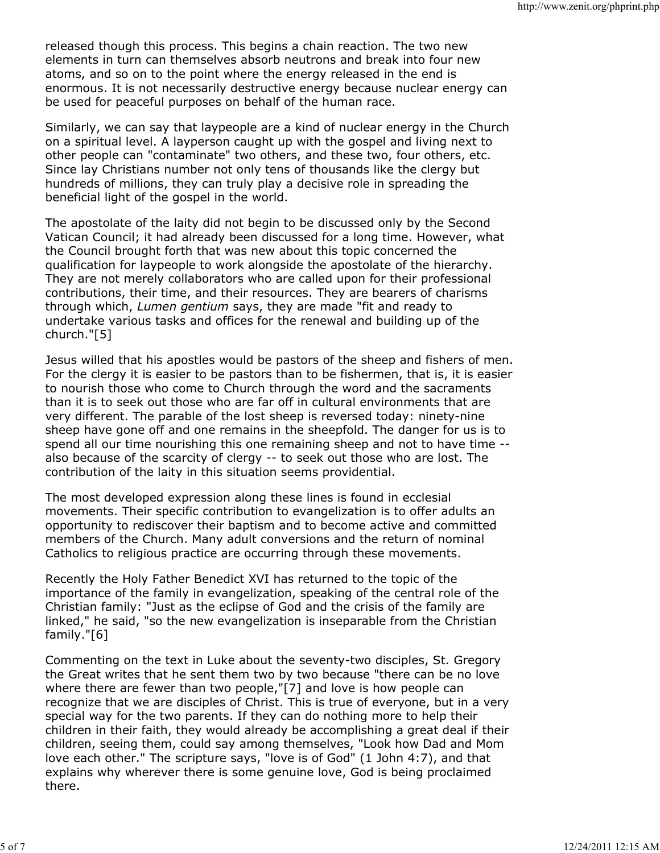released though this process. This begins a chain reaction. The two new elements in turn can themselves absorb neutrons and break into four new atoms, and so on to the point where the energy released in the end is enormous. It is not necessarily destructive energy because nuclear energy can be used for peaceful purposes on behalf of the human race.

Similarly, we can say that laypeople are a kind of nuclear energy in the Church on a spiritual level. A layperson caught up with the gospel and living next to other people can "contaminate" two others, and these two, four others, etc. Since lay Christians number not only tens of thousands like the clergy but hundreds of millions, they can truly play a decisive role in spreading the beneficial light of the gospel in the world.

The apostolate of the laity did not begin to be discussed only by the Second Vatican Council; it had already been discussed for a long time. However, what the Council brought forth that was new about this topic concerned the qualification for laypeople to work alongside the apostolate of the hierarchy. They are not merely collaborators who are called upon for their professional contributions, their time, and their resources. They are bearers of charisms through which, Lumen gentium says, they are made "fit and ready to undertake various tasks and offices for the renewal and building up of the church."[5]

Jesus willed that his apostles would be pastors of the sheep and fishers of men. For the clergy it is easier to be pastors than to be fishermen, that is, it is easier to nourish those who come to Church through the word and the sacraments than it is to seek out those who are far off in cultural environments that are very different. The parable of the lost sheep is reversed today: ninety-nine sheep have gone off and one remains in the sheepfold. The danger for us is to spend all our time nourishing this one remaining sheep and not to have time - also because of the scarcity of clergy -- to seek out those who are lost. The contribution of the laity in this situation seems providential.

The most developed expression along these lines is found in ecclesial movements. Their specific contribution to evangelization is to offer adults an opportunity to rediscover their baptism and to become active and committed members of the Church. Many adult conversions and the return of nominal Catholics to religious practice are occurring through these movements.

Recently the Holy Father Benedict XVI has returned to the topic of the importance of the family in evangelization, speaking of the central role of the Christian family: "Just as the eclipse of God and the crisis of the family are linked," he said, "so the new evangelization is inseparable from the Christian family."[6]

Commenting on the text in Luke about the seventy-two disciples, St. Gregory the Great writes that he sent them two by two because "there can be no love where there are fewer than two people,"[7] and love is how people can recognize that we are disciples of Christ. This is true of everyone, but in a very special way for the two parents. If they can do nothing more to help their children in their faith, they would already be accomplishing a great deal if their children, seeing them, could say among themselves, "Look how Dad and Mom love each other." The scripture says, "love is of God" (1 John 4:7), and that explains why wherever there is some genuine love, God is being proclaimed there.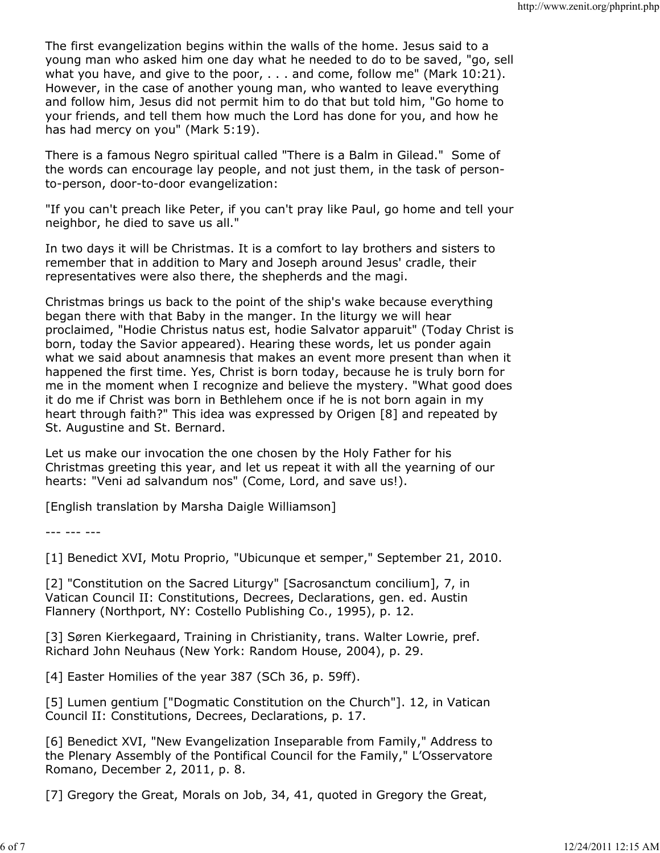The first evangelization begins within the walls of the home. Jesus said to a young man who asked him one day what he needed to do to be saved, "go, sell what you have, and give to the poor, . . . and come, follow me" (Mark 10:21). However, in the case of another young man, who wanted to leave everything and follow him, Jesus did not permit him to do that but told him, "Go home to your friends, and tell them how much the Lord has done for you, and how he has had mercy on you" (Mark 5:19).

There is a famous Negro spiritual called "There is a Balm in Gilead." Some of the words can encourage lay people, and not just them, in the task of personto-person, door-to-door evangelization:

"If you can't preach like Peter, if you can't pray like Paul, go home and tell your neighbor, he died to save us all."

In two days it will be Christmas. It is a comfort to lay brothers and sisters to remember that in addition to Mary and Joseph around Jesus' cradle, their representatives were also there, the shepherds and the magi.

Christmas brings us back to the point of the ship's wake because everything began there with that Baby in the manger. In the liturgy we will hear proclaimed, "Hodie Christus natus est, hodie Salvator apparuit" (Today Christ is born, today the Savior appeared). Hearing these words, let us ponder again what we said about anamnesis that makes an event more present than when it happened the first time. Yes, Christ is born today, because he is truly born for me in the moment when I recognize and believe the mystery. "What good does it do me if Christ was born in Bethlehem once if he is not born again in my heart through faith?" This idea was expressed by Origen [8] and repeated by St. Augustine and St. Bernard.

Let us make our invocation the one chosen by the Holy Father for his Christmas greeting this year, and let us repeat it with all the yearning of our hearts: "Veni ad salvandum nos" (Come, Lord, and save us!).

[English translation by Marsha Daigle Williamson]

--- --- ---

[1] Benedict XVI, Motu Proprio, "Ubicunque et semper," September 21, 2010.

[2] "Constitution on the Sacred Liturgy" [Sacrosanctum concilium], 7, in Vatican Council II: Constitutions, Decrees, Declarations, gen. ed. Austin Flannery (Northport, NY: Costello Publishing Co., 1995), p. 12.

[3] Søren Kierkegaard, Training in Christianity, trans. Walter Lowrie, pref. Richard John Neuhaus (New York: Random House, 2004), p. 29.

[4] Easter Homilies of the year 387 (SCh 36, p. 59ff).

[5] Lumen gentium ["Dogmatic Constitution on the Church"]. 12, in Vatican Council II: Constitutions, Decrees, Declarations, p. 17.

[6] Benedict XVI, "New Evangelization Inseparable from Family," Address to the Plenary Assembly of the Pontifical Council for the Family," L'Osservatore Romano, December 2, 2011, p. 8.

[7] Gregory the Great, Morals on Job, 34, 41, quoted in Gregory the Great,